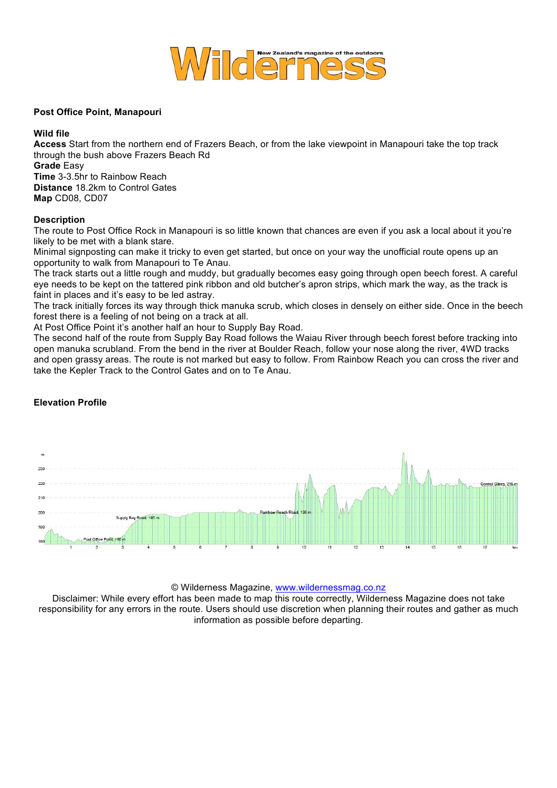

#### **Post Office Point, Manapouri**

#### **Wild file**

**Access** Start from the northern end of Frazers Beach, or from the lake viewpoint in Manapouri take the top track through the bush above Frazers Beach Rd **Grade** Easy **Time** 3-3.5hr to Rainbow Reach **Distance** 18.2km to Control Gates **Map** CD08, CD07

## **Description**

The route to Post Office Rock in Manapouri is so little known that chances are even if you ask a local about it you're likely to be met with a blank stare.

Minimal signposting can make it tricky to even get started, but once on your way the unofficial route opens up an opportunity to walk from Manapouri to Te Anau.

The track starts out a little rough and muddy, but gradually becomes easy going through open beech forest. A careful eye needs to be kept on the tattered pink ribbon and old butcher's apron strips, which mark the way, as the track is faint in places and it's easy to be led astray.

The track initially forces its way through thick manuka scrub, which closes in densely on either side. Once in the beech forest there is a feeling of not being on a track at all.

At Post Office Point it's another half an hour to Supply Bay Road.

The second half of the route from Supply Bay Road follows the Waiau River through beech forest before tracking into open manuka scrubland. From the bend in the river at Boulder Reach, follow your nose along the river, 4WD tracks and open grassy areas. The route is not marked but easy to follow. From Rainbow Reach you can cross the river and take the Kepler Track to the Control Gates and on to Te Anau.

# **Elevation Profile**



© Wilderness Magazine, www.wildernessmag.co.nz

Disclaimer: While every effort has been made to map this route correctly, Wilderness Magazine does not take responsibility for any errors in the route. Users should use discretion when planning their routes and gather as much information as possible before departing.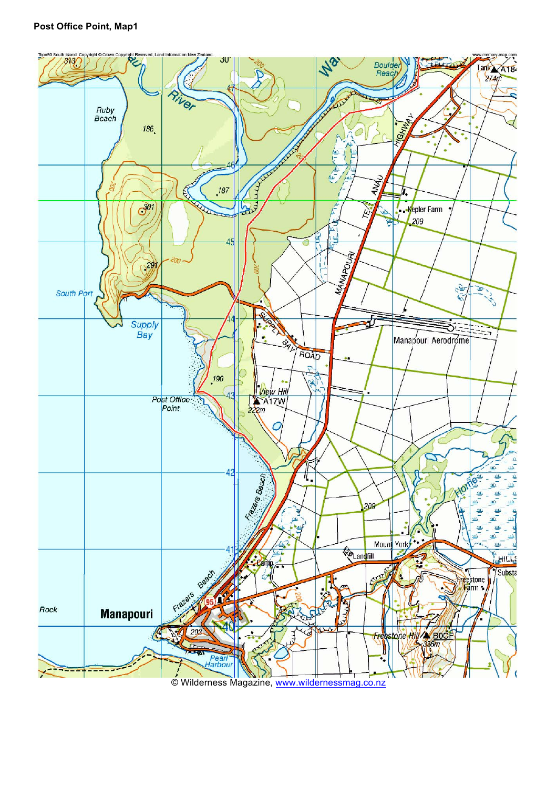## **Post Office Point, Map1**



© Wilderness Magazine, www.wildernessmag.co.nz